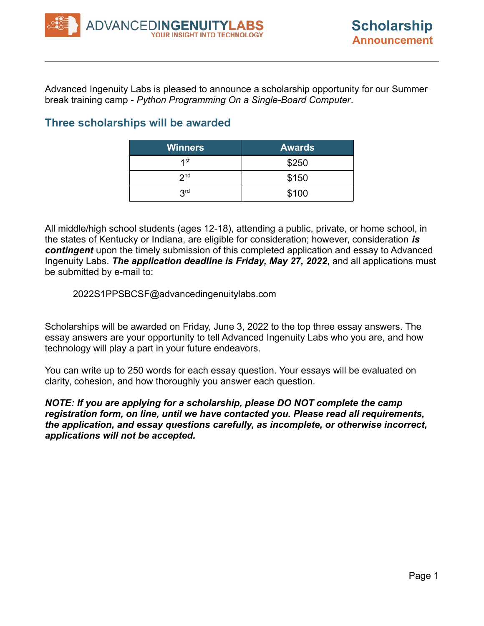Advanced Ingenuity Labs is pleased to announce a scholarship opportunity for our Summer break training camp - *Python Programming On a Single-Board Computer*.

## **Three scholarships will be awarded**

| <b>Winners</b>  | <b>Awards</b> |
|-----------------|---------------|
| 1st             | \$250         |
| 2 <sub>nd</sub> | \$150         |
| 3 <sup>rd</sup> | \$100         |

All middle/high school students (ages 12-18), attending a public, private, or home school, in the states of Kentucky or Indiana, are eligible for consideration; however, consideration *is contingent* upon the timely submission of this completed application and essay to Advanced Ingenuity Labs. *The application deadline is Friday, May 27, 2022*, and all applications must be submitted by e-mail to:

#### 2022S1PPSBCSF@advancedingenuitylabs.com

Scholarships will be awarded on Friday, June 3, 2022 to the top three essay answers. The essay answers are your opportunity to tell Advanced Ingenuity Labs who you are, and how technology will play a part in your future endeavors.

You can write up to 250 words for each essay question. Your essays will be evaluated on clarity, cohesion, and how thoroughly you answer each question.

*NOTE: If you are applying for a scholarship, please DO NOT complete the camp registration form, on line, until we have contacted you. Please read all requirements, the application, and essay questions carefully, as incomplete, or otherwise incorrect, applications will not be accepted.*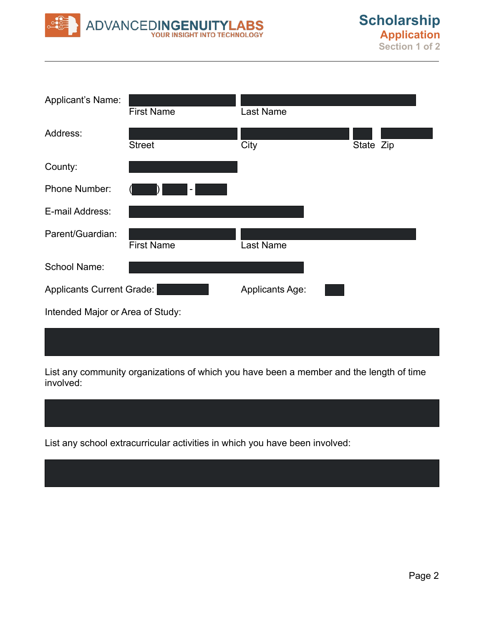

| Applicant's Name:                | <b>First Name</b>        | Last Name              |           |  |
|----------------------------------|--------------------------|------------------------|-----------|--|
| Address:                         | <b>Street</b>            | City                   | State Zip |  |
| County:                          |                          |                        |           |  |
| <b>Phone Number:</b>             | $\overline{\phantom{a}}$ |                        |           |  |
| E-mail Address:                  |                          |                        |           |  |
| Parent/Guardian:                 | <b>First Name</b>        | Last Name              |           |  |
| School Name:                     |                          |                        |           |  |
| Applicants Current Grade:        |                          | <b>Applicants Age:</b> |           |  |
| Intended Major or Area of Study: |                          |                        |           |  |

List any community organizations of which you have been a member and the length of time involved:

List any school extracurricular activities in which you have been involved: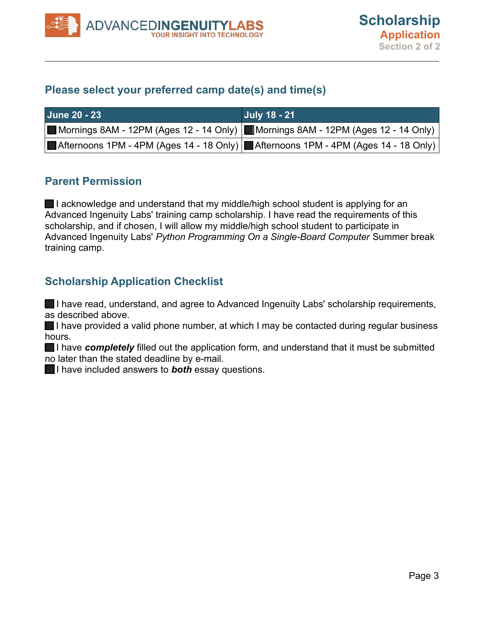### **Please select your preferred camp date(s) and time(s)**

| <b>June 20 - 23</b> | <b>July 18 - 21</b>                                                                      |
|---------------------|------------------------------------------------------------------------------------------|
|                     | Mornings 8AM - 12PM (Ages 12 - 14 Only) Mornings 8AM - 12PM (Ages 12 - 14 Only)          |
|                     | Afternoons 1PM - 4PM (Ages 14 - 18 Only) <b>Afternoons 1PM - 4PM (Ages 14 - 18 Only)</b> |

#### **Parent Permission**

■I acknowledge and understand that my middle/high school student is applying for an Advanced Ingenuity Labs' training camp scholarship. I have read the requirements of this scholarship, and if chosen, I will allow my middle/high school student to participate in Advanced Ingenuity Labs' *Python Programming On a Single-Board Computer* Summer break training camp.

# **Scholarship Application Checklist**

I have read, understand, and agree to Advanced Ingenuity Labs' scholarship requirements, as described above.

I have provided a valid phone number, at which I may be contacted during regular business hours.

I have *completely* filled out the application form, and understand that it must be submitted no later than the stated deadline by e-mail.

**I** have included answers to **both** essay questions.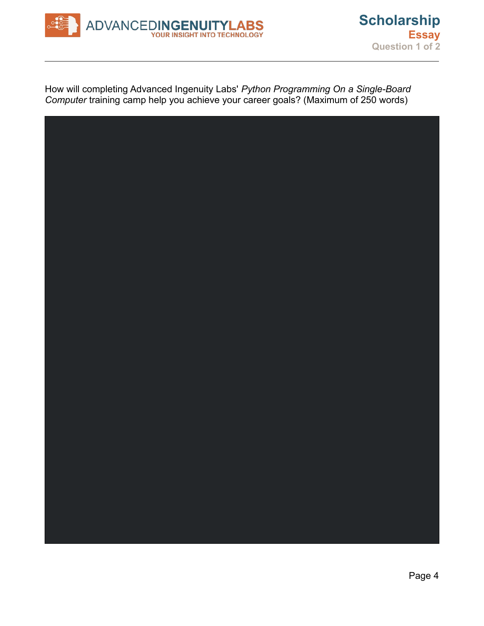

How will completing Advanced Ingenuity Labs' *Python Programming On a Single-Board Computer* training camp help you achieve your career goals? (Maximum of 250 words)